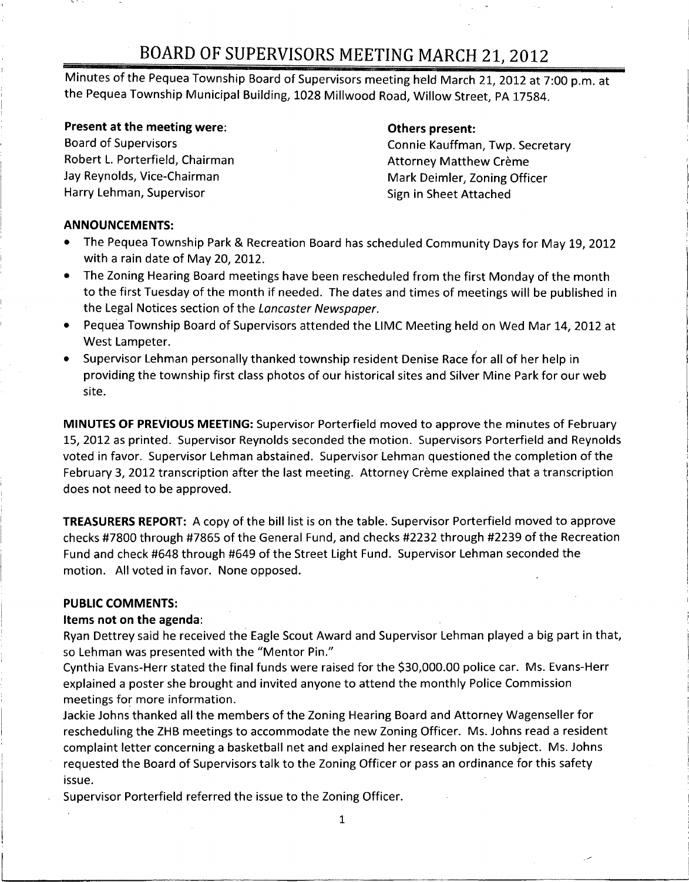Minutes of the Pequea Township Board of Supervisors meeting held March 21, <sup>2012</sup> at 7:00 p.m. at the Pequea Township Municipal Building, 1028 Millwood Road, Willow Street, PA 17584.

Present at the meeting were: **Others present:** Others present:<br>
Board of Supervisors **Example 2018** Robert L. Porterfield, Chairman Attorney Matthew Crème<br>
Jay Reynolds, Vice-Chairman Attorney Mark Deimler. Zoning Offi Harry Lehman, Supervisor **process and Sign in Sheet Attached** 

Connie Kauffman, Twp. Secretary Mark Deimler, Zoning Officer

### ANNOUNCEMENTS:

- The Pequea Township Park & Recreation Board has scheduled Community Days for May 19, 2012 with a rain date of May 20, 2012.
- The Zoning Hearing Board meetings have been rescheduled from the first Monday of the month to the first Tuesday of the month if needed. The dates and times of meetings will be published in the Legal Notices section of the Lancaster Newspaper.
- Pequea Township Board of Supervisors attended the LIMC Meeting held on Wed Mar 14, 2012 at West Lampeter.
- Supervisor Lehman personally thanked township resident Denise Race for all of her help in providing the township first class photos of our historical sites and Silver Mine Park for our web site.

MINUTES OF PREVIOUS MEETING: Supervisor Porterfield moved to approve the minutes of February 15, 2012 as printed. Supervisor Reynolds seconded the motion. Supervisors Porterfield and Reynolds voted in favor. Supervisor Lehman abstained. Supervisor Lehman questioned the completion of the February 3, 2012 transcription after the last meeting. Attorney Crème explained that a transcription does not need to be approved.

TREASURERS REPORT: A copy of the bill list is on the table. Supervisor Porterfield moved to approve checks #7800 through #7865 of the General Fund, and checks #2232 through #2239 of the Recreation Fund and check #648 through #649 of the Street Light Fund. Supervisor Lehman seconded the motion. All voted in favor. None opposed.

#### PUBLIC COMMENTS:

#### Items not on the agenda:

Ryan Dettrey said he received the Eagle Scout Award and Supervisor Lehman played <sup>a</sup> big part in that, so Lehman was presented with the "Mentor Pin."

Cynthia Evans-Herr stated the final funds were raised for the \$30,000.00 police car. Ms. Evans-Herr explained <sup>a</sup> poster she brought and invited anyone to attend the monthly Police Commission meetings for more information.

Jackie Johns thanked all the members of the Zoning Hearing Board and Attorney Wagenseller for rescheduling the ZHB meetings to accommodate the new Zoning Officer. Ms. Johns read <sup>a</sup> resident complaint letter concerning <sup>a</sup> basketball net and explained her research on the subject. Ms. Johns requested the Board of Supervisors talk to the Zoning Officer or pass an ordinance for this safety issue.

Supervisor Porterfield referred the issue to the Zoning Officer.

1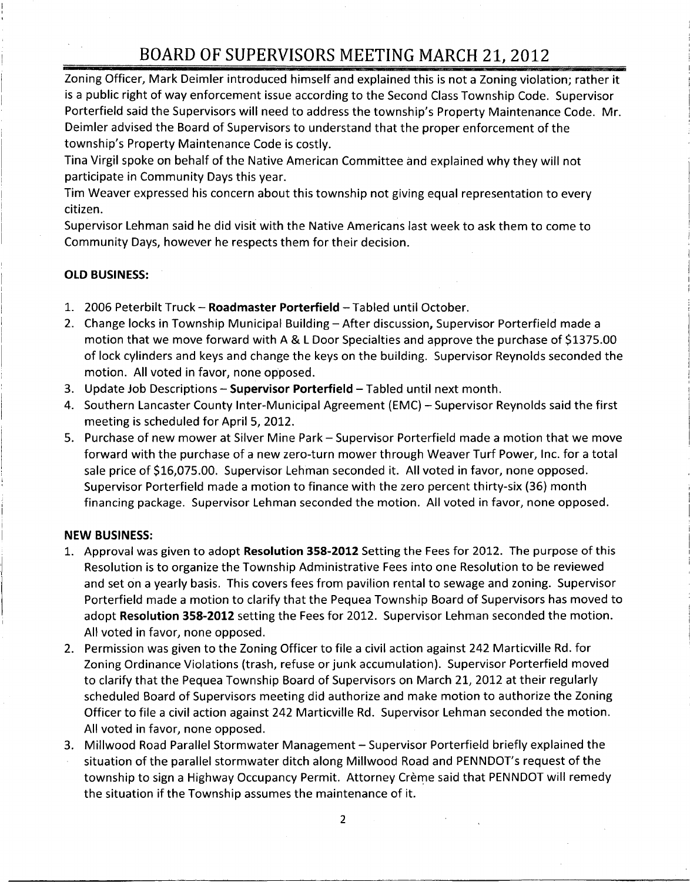Zoning Officer, Mark Deimler introduced himself and explained this is not <sup>a</sup> Zoning violation; rather it is <sup>a</sup> public right of way enforcement issue according to the Second Class Township Code. Supervisor Zoning Officer, Mark Deimler introduced himself and explained this is not a Zoning violation; rather it<br>is a public right of way enforcement issue according to the Second Class Township Code. Supervisor<br>Porterfield said th Deimler advised the Board of Supervisors to understand that the proper enforcement of the Porterfield said the Supervisors will need to addre<br>Deimler advised the Board of Supervisors to unde<br>township's Property Maintenance Code is costly.<br>Tina Virgil spoke on behalf of the Native American

Tina Virgil spoke on behalf of the Native American Committee and explained why they will not participate in Community Days this year.

Tim Weaver expressed his concern about this township not giving equal representation to every citizen.

Supervisor Lehman said he did visit with the Native Americans last week to ask them to come to Community Days, however he respects them for their decision.

#### OLD BUSINESS:

- 1. 2006 Peterbilt Truck Roadmaster Porterfield Tabled until October.
- 2. Change locks in Township Municipal Building After discussion, Supervisor Porterfield made <sup>a</sup> motion that we move forward with A & <sup>L</sup> Door Specialties and approve the purchase of \$1375.00 of lock cylinders and keys and change the keys on the building. Supervisor Reynolds seconded the motion. All voted in favor, none opposed.
- 3. Update Job Descriptions Supervisor Porterfield Tabled until next month.
- 4. Southern Lancaster County Inter-Municipal Agreement (EMC) Supervisor Reynolds said the first meeting is scheduled for April 5, 2012.
- 5. Purchase of new mower at Silver Mine Park Supervisor Porterfield made a motion that we move<br>forward with the purchase of a new zero-turn mower through Weaver Turf Power, Inc. for a total<br>sale price of \$16,075.00. Supe forward with the purchase of a new zero-turn mower through Weaver Turf Power, Inc. for a total Supervisor Porterfield made a motion to finance with the zero percent thirty-six (36) month financing package. Supervisor Lehman seconded the motion. All voted in favor, none opposed.

#### NEW BUSINESS:

- 1. Approval was given to adopt Resolution 358-2012 Setting the Fees for 2012. The purpose of this Resolution is to organize the Township Administrative Fees into one Resolution to be reviewed and set on <sup>a</sup> yearly basis. This covers fees from pavilion rental to sewage and zoning. Supervisor Porterfield made <sup>a</sup> motion to clarify that the Pequea Township Board of Supervisors has moved to adopt Resolution 358-2012 setting the Fees for 2012. Supervisor Lehman seconded the motion. All voted in favor, none opposed.
- 2. Permission was given to the Zoning Officer to file <sup>a</sup> civil action against <sup>242</sup> Marticville Rd. for Zoning Ordinance Violations (trash, refuse or junk accumulation). Supervisor Porterfield moved to clarify that the Pequea Township Board of Supervisors on March 21, 2012 at their regularly scheduled Board of Supervisors meeting did authorize and make motion to authorize the Zoning Officer to file <sup>a</sup> civil action against 242 Marticville Rd. Supervisor Lehman seconded the motion. All voted in favor, none opposed.
- 3. Millwood Road Parallel Stormwater Management Supervisor Porterfield briefly explained the All voted in favor, none opposed.<br>Millwood Road Parallel Stormwater Management – Supervisor Porterfield briefly explained the<br>situation of the parallel stormwater ditch along Millwood Road and PENNDOT's request of the<br>town township to sign a Highway Occupancy Permit. Attorney Crème said that PENNDOT will remedy the situation if the Township assumes the maintenance of it.

2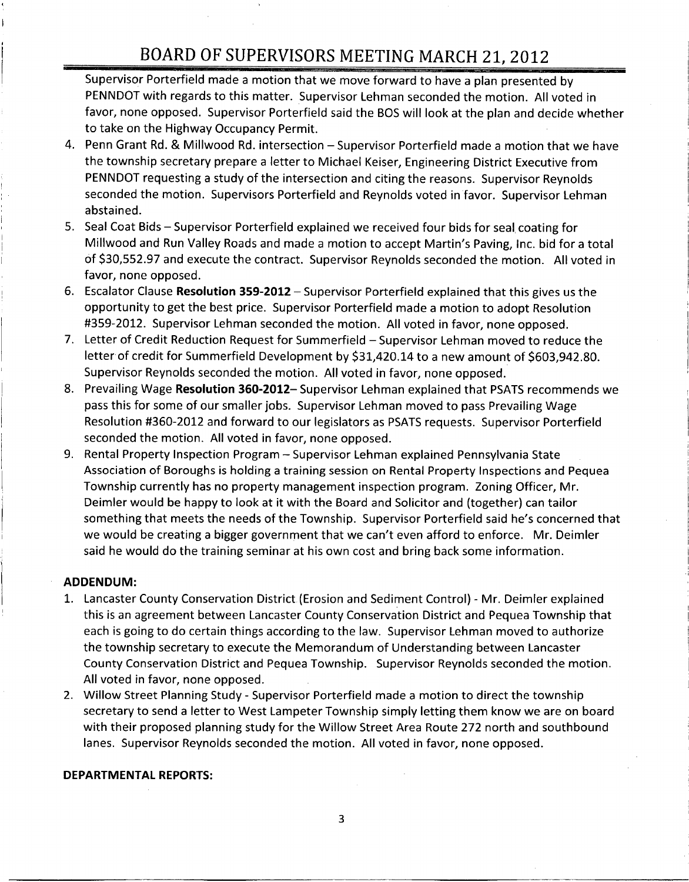Supervisor Porterfield made <sup>a</sup> motion that we move forward to have a plan presented by PENNDOT with regards to this matter. Supervisor Lehman seconded the motion. All voted in favor, none opposed. Supervisor Porterfield said the BOS will look at the plan and decide whether to take on the Highway Occupancy Permit.

- 4. Penn Grant Rd. & Millwood Rd. intersection Supervisor Porterfield made <sup>a</sup> motion that we have the township secretary prepare <sup>a</sup> letter to Michael Keiser, Engineering District Executive from PENNDOT requesting <sup>a</sup> study of the intersection and citing the reasons. Supervisor Reynolds seconded the motion. Supervisors Porterfield and Reynolds voted in favor. Supervisor Lehman abstained.
- 5. Seal Coat Bids Supervisor Porterfield explained we received four bids for seal, coating for Seal Coat Bids – Supervisor Porterfield explained we received four bids for seal coating for<br>Millwood and Run Valley Roads and made a motion to accept Martin's Paving, Inc. bid for a total<br>of \$30,552.97 and execute the con favor, none opposed.
- 6. Escalator Clause Resolution 359-2012 Supervisor Porterfield explained that this gives us the opportunity to get the best price. Supervisor Porterfield made <sup>a</sup> motion to adopt Resolution #359-2012. Supervisor Lehman seconded the motion. All voted in favor, none opposed.
- 7. Letter of Credit Reduction Request for Summerfield Supervisor Lehman moved to reduce the letter of credit for Summerfield Development by \$31,420.14 to a new amount of \$603,942.80. Supervisor Reynolds seconded the motion. All voted in favor, none opposed.
- 8. Prevailing Wage Resolution 360-2012– Supervisor Lehman explained that PSATS recommends we pass this for some of our smaller jobs. Supervisor Lehman moved to pass Prevailing Wage Resolution #360 -2012 and forward to our legislators as PSATS requests. Supervisor Porterfield seconded the motion. All voted in favor, none opposed.
- 9. Rental Property Inspection Program Supervisor Lehman explained Pennsylvania State Association of Boroughs is holding <sup>a</sup> training session on Rental Property Inspections and Pequea Township currently has no property management inspection program. Zoning Officer, Mr. Deimler would be happy to look at it with the Board and Solicitor and (together) can tailor Deimier would be happy to look at it with the Board and Solicitor and (together) can tailor<br>something that meets the needs of the Township. Supervisor Porterfield said he's concerned that<br>we would be creating a bigger gove said he would do the training seminar at his own cost and bring back some information.

#### ADDENDUM:

1

- 1. Lancaster County Conservation District (Erosion and Sediment Control) Mr. Deimler explained this is an agreement between Lancaster County Conservation District and Pequea Township that each is going to do certain things according to the law. Supervisor Lehman moved to authorize the township secretary to execute the Memorandum of Understanding between Lancaster County Conservation District and Pequea Township. Supervisor Reynolds seconded the motion. All voted in favor, none opposed.
- 2. Willow Street Planning Study Supervisor Porterfield made <sup>a</sup> motion to direct the township secretary to send <sup>a</sup> letter to West Lampeter Township simply letting them know we are on board with their proposed planning study for the Willow Street Area Route 272 north and southbound lanes. Supervisor Reynolds seconded the motion. All voted in favor, none opposed.

#### DEPARTMENTAL REPORTS: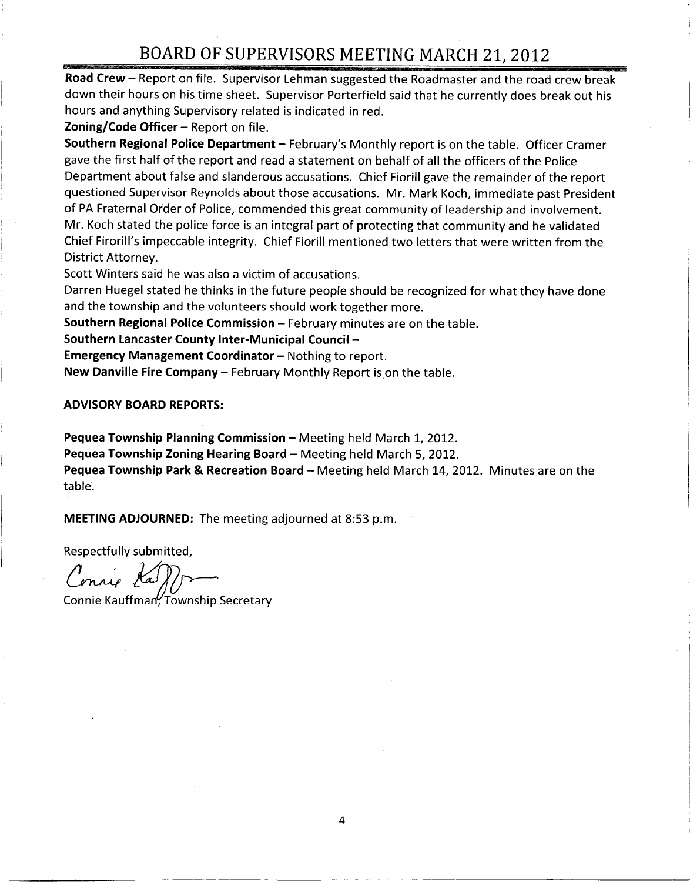Road Crew – Report on file. Supervisor Lehman suggested the Roadmaster and the road crew break down their hours on his time sheet. Supervisor Porterfield said that he currently does break out his hours and anything Supervisory related is indicated in red.

Zoning/Code Officer - Report on file.

Southern Regional Police Department - February's Monthly report is on the table. Officer Cramer gave the first half of the report and read <sup>a</sup> statement on behalf of all the officers of the Police Department about false and slanderous accusations. Chief Fiorill gave the remainder of the report questioned Supervisor Reynolds about those accusations. Mr. Mark Koch, immediate past President of PA Fraternal Order of Police, commended this great community of leadership and involvement. Mr. Koch stated the police force is an integral part of protecting that community and he validated<br>Chief Firorill's impeccable integrity. Chief Fiorill mentioned two letters that were written from the District Attorney.

Scott Winters said he was also <sup>a</sup> victim of accusations.

Darren Huegel stated he thinks in the future people should be recognized for what they have done and the township and the volunteers should work together more.

Southern Regional Police Commission — February minutes are on the table.

Southern Lancaster County Inter - Municipal Council —

Emergency Management Coordinator — Nothing to report.

New Danville Fire Company - February Monthly Report is on the table.

ADVISORY BOARD REPORTS:

Pequea Township Planning Commission — Meeting held March 1, 2012. Pequea Township Zoning Hearing Board — Meeting held March 5, 2012. Pequea Township Park & Recreation Board — Meeting held March 14, 2012. Minutes are on the table.

MEETING ADJOURNED: The meeting adjourned at 8:53 p.m.

Respectfully submitted,

Connie Ka

Connie Kauffman, Township Secretary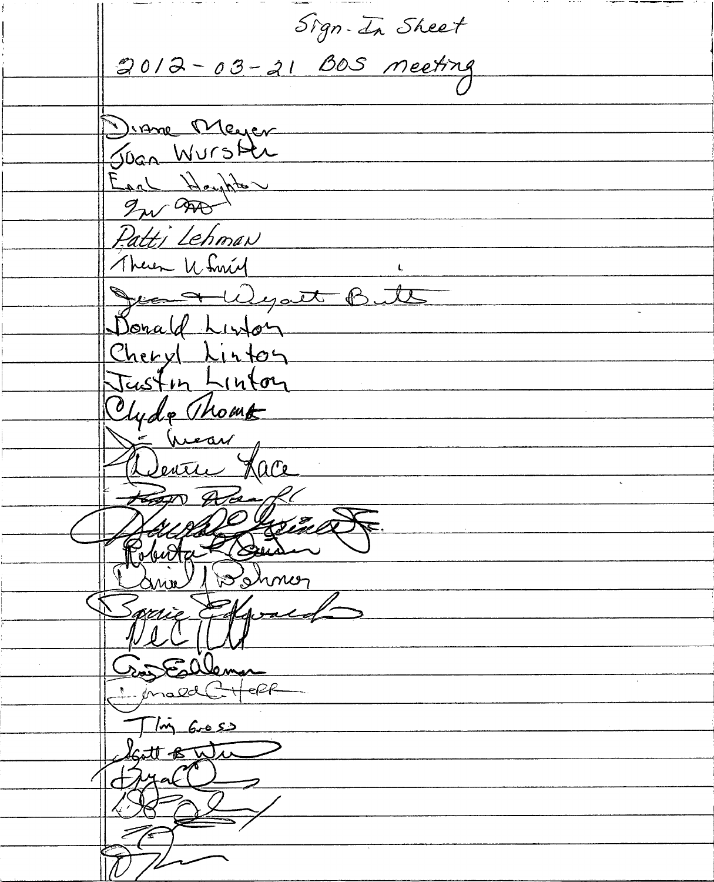Sign. In Sheet 2012-03-21 BOS neeting Diane Meyer Joan Wurster Earl Houghts In and Patti Lehman Theren U Smit Jean Wyatt Butts Donald Linton Cheryl Linton Eastin Linton Clyde Thoms Sentre Hace top Ala Poluta 1 postmer  $\lambda$  and  $\lambda$ Spring Followald Fillema ليک<br>حب -ef-f  $\frac{1}{\pi}$  6.05) tto